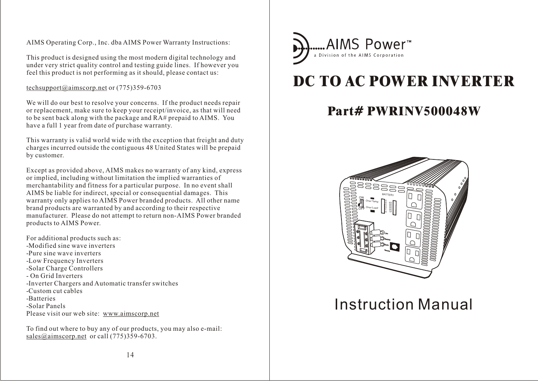AIMS Operating Corp., Inc. dba AIMS Power Warranty Instructions:

This product is designed using the most modern digital technology and under very strict quality control and testing guide lines. If however you feel this product is not performing as it should, please contact us:

techsupport@aimscorp.net or (775)359-6703

We will do our best to resolve your concerns. If the product needs repair or replacement, make sure to keep your receipt/invoice, as that will need to be sent back along with the package and RA# prepaid to AIMS. You have a full 1 year from date of purchase warranty.

This warranty is valid world wide with the exception that freight and duty charges incurred outside the contiguous 48 United States will be prepaid by customer.

Except as provided above, AIMS makes no warranty of any kind, express or implied, including without limitation the implied warranties of merchantability and fitness for a particular purpose. In no event shall AIMS be liable for indirect, special or consequential damages. This warranty only applies to AIMS Power branded products. All other name brand products are warranted by and according to their respective manufacturer. Please do not attempt to return non-AIMS Power branded products to AIMS Power.

For additional products such as: -Modified sine wave inverters -Pure sine wave inverters -Low Frequency Inverters -Solar Charge Controllers - On Grid Inverters -Inverter Chargers and Automatic transfer switches -Custom cut cables -Batteries -Solar Panels Please visit our web site: www.aimscorp.net

To find out where to buy any of our products, you may also e-mail: sales@aimscorp.net or call (775)359-6703.



# **DC TO AC POWER INVERTER**

# **Part# PWRINV500048W**



# Instruction Manual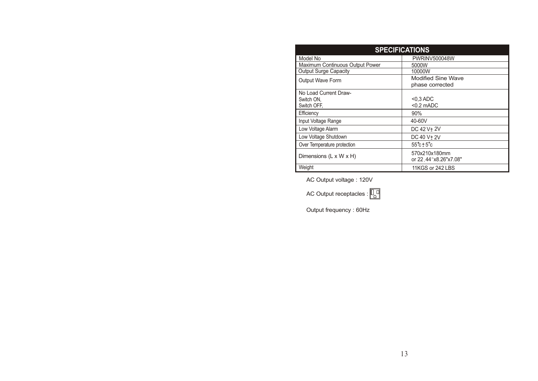| <b>SPECIFICATIONS</b>                              |                                          |  |
|----------------------------------------------------|------------------------------------------|--|
| Model No                                           | <b>PWRINV500048W</b>                     |  |
| Maximum Continuous Output Power                    | 5000W                                    |  |
| <b>Output Surge Capacity</b>                       | 10000W                                   |  |
| <b>Output Wave Form</b>                            | Modified Sine Wave                       |  |
|                                                    | phase corrected                          |  |
| No Load Current Draw-<br>Switch ON,<br>Switch OFF. | $<$ 0,3 ADC<br>$<$ 0.2 mADC              |  |
| Efficiency                                         | 90%                                      |  |
| Input Voltage Range                                | 40-60V                                   |  |
| Low Voltage Alarm                                  | DC 42 V+ 2V                              |  |
| Low Voltage Shutdown                               | DC 40 V + 2V                             |  |
| Over Temperature protection                        | $55^\circ \text{c} \pm 5^\circ \text{c}$ |  |
| Dimensions $(L \times W \times H)$                 | 570x210x180mm<br>or 22, 44"x8.26"x7.08"  |  |
| Weight                                             | 11KGS or 242 LBS                         |  |

AC Output voltage : 120V

AC Output receptacles :  $\boxed{\Box}$ 

Output frequency : 60Hz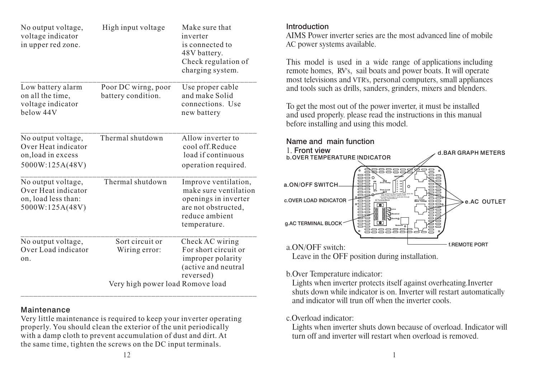| No output voltage,<br>voltage indicator<br>in upper red zone.                       | High input voltage                        | Make sure that<br>inverter<br>is connected to<br>48V battery.<br>Check regulation of<br>charging system.                       |
|-------------------------------------------------------------------------------------|-------------------------------------------|--------------------------------------------------------------------------------------------------------------------------------|
| Low battery alarm<br>on all the time,<br>voltage indicator<br>below 44V             | Poor DC wirng, poor<br>battery condition. | Use proper cable<br>and make Solid<br>connections. Use<br>new battery                                                          |
| No output voltage,<br>Over Heat indicator<br>on, load in excess<br>5000W:125A(48V)  | Thermal shutdown                          | Allow inverter to<br>cool off.Reduce<br>load if continuous<br>operation required.                                              |
| No output voltage,<br>Over Heat indicator<br>on, load less than:<br>5000W:125A(48V) | Thermal shutdown                          | Improve ventilation,<br>make sure ventilation<br>openings in inverter<br>are not obstructed,<br>reduce ambient<br>temperature. |
| No output voltage,<br>Over Load indicator<br>on.                                    | Sort circuit or<br>Wiring error:          | Check AC wiring<br>For short circuit or<br>improper polarity<br>(active and neutral<br>reversed)                               |
|                                                                                     | Very high power load Romove load          |                                                                                                                                |

#### Maintenance

Very little maintenance is required to keep your inverter operating properly. You should clean the exterior of the unit periodically with a damp cloth to prevent accumulation of dust and dirt. At the same time, tighten the screws on the DC input terminals.

#### Introduction

AIMS Power inverter series are the most advanced line of mobile AC power systems available.

This model is used in a wide range of applications including remote homes, RV's, sail boats and power boats. It will operate most televisions and VTR's, personal computers, small appliances and tools such as drills, sanders, grinders, mixers and blenders.

To get the most out of the power inverter, it must be installed and used properly. please read the instructions in this manual before installing and using this model.



Leave in the OFF position during installation.

#### b.Over Temperature indicator:

 Lights when inverter protects itself against overheating.Inverter shuts down while indicator is on. Inverter will restart automatically and indicator will trun off when the inverter cools.

#### c.Overload indicator:

 turn off and inverter will restart when overload is removed. Lights when inverter shuts down because of overload. Indicator will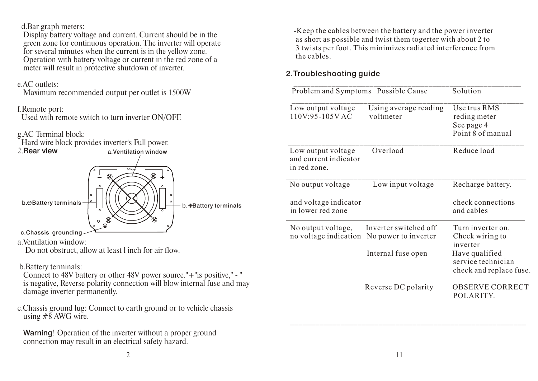d.Bar graph meters:

 Display battery voltage and current. Current should be in the green zone for continuous operation. The inverter will operate for several minutes when the current is in the yellow zone. Operation with battery voltage or current in the red zone of a meter will result in protective shutdown of inverter.

#### e.AC outlets:

Maximum recommended output per outlet is 1500W

#### f.Remote port:

Used with remote switch to turn inverter ON/OFF.

# g.AC Terminal block:



a.Ventilation window:

Do not obstruct, allow at least l inch for air flow.

b.Battery terminals:

 Connect to 48V battery or other 48V power source."+"is positive," - " is negative, Reverse polarity connection will blow internal fuse and may damage inverter permanently.

c.Chassis ground lug: Connect to earth ground or to vehicle chassis using  $\#8$  AWG wire.

Warning! Operation of the inverter without a proper ground connection may result in an electrical safety hazard.

 -Keep the cables between the battery and the power inverter as short as possible and twist them togerter with about 2 to 3 twists per foot. This minimizes radiated interference from the cables.

# 2.Troubleshooting guide

| Problem and Symptoms Possible Cause                         |                                                                     | Solution                                                                                                            |
|-------------------------------------------------------------|---------------------------------------------------------------------|---------------------------------------------------------------------------------------------------------------------|
| Low output voltage<br>$110V:95-105VAC$                      | Using average reading<br>voltmeter                                  | Use trus RMS<br>reding meter<br>See page 4<br>Point 8 of manual                                                     |
| Low output voltage<br>and current indicator<br>in red zone. | Overload                                                            | Reduce load                                                                                                         |
| No output voltage                                           | Low input voltage                                                   | Recharge battery.                                                                                                   |
| and voltage indicator<br>in lower red zone                  |                                                                     | check connections<br>and cables                                                                                     |
| No output voltage,<br>no voltage indication                 | Inverter switched off<br>No power to inverter<br>Internal fuse open | Turn inverter on.<br>Check wiring to<br>inverter<br>Have qualified<br>service technician<br>check and replace fuse. |
|                                                             | Reverse DC polarity                                                 | <b>OBSERVE CORRECT</b><br>POLARITY.                                                                                 |

\_\_\_\_\_\_\_\_\_\_\_\_\_\_\_\_\_\_\_\_\_\_\_\_\_\_\_\_\_\_\_\_\_\_\_\_\_\_\_\_\_\_\_\_\_\_\_\_\_\_\_\_\_\_\_\_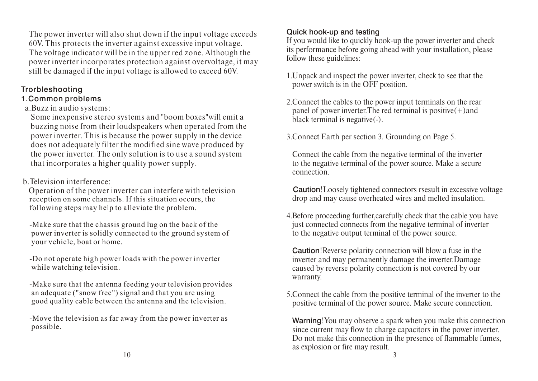The power inverter will also shut down if the input voltage exceeds 60V. This protects the inverter against excessive input voltage. The voltage indicator will be in the upper red zone. Although the power inverter incorporates protection against overvoltage, it may still be damaged if the input voltage is allowed to exceed 60V.

# Trorbleshooting

# 1.Common problems

a.Buzz in audio systems:

 Some inexpensive stereo systems and "boom boxes"will emit a buzzing noise from their loudspeakers when operated from the power inverter. This is because the power supply in the device does not adequately filter the modified sine wave produced by the power inverter. The only solution is to use a sound system that incorporates a higher quality power supply.

b.Television interference:

 Operation of the power inverter can interfere with television reception on some channels. If this situation occurs, the following steps may help to alleviate the problem.

 -Make sure that the chassis ground lug on the back of the power inverter is solidly connected to the ground system of your vehicle, boat or home.

 -Do not operate high power loads with the power inverter while watching television.

 -Make sure that the antenna feeding your television provides an adequate ("snow free") signal and that you are using good quality cable between the antenna and the television.

 -Move the television as far away from the power inverter as possible.

# Quick hook-up and testing

If you would like to quickly hook-up the power inverter and check its performance before going ahead with your installation, please follow these guidelines:

- 1.Unpack and inspect the power inverter, check to see that the power switch is in the OFF position.
- 2.Connect the cables to the power input terminals on the rear panel of power inverter. The red terminal is positive  $(+)$  and black terminal is negative(-).
- 3. Connect Earth per section 3. Grounding on Page 5.

Connect the cable from the negative terminal of the inverter to the negative terminal of the power source. Make a secure connection.

 Caution!Loosely tightened connectors rsesult in excessive voltage drop and may cause overheated wires and melted insulation.

4.Before proceeding further,carefully check that the cable you have just connected connects from the negative terminal of inverter to the negative output terminal of the power source.

 Caution!Reverse polarity connection will blow a fuse in the inverter and may permanently damage the inverter.Damage caused by reverse polarity connection is not covered by our warranty.

5.Connect the cable from the positive terminal of the inverter to the positive terminal of the power source. Make secure connection.

 Warning!You may observe a spark when you make this connection since current may flow to charge capacitors in the power inverter. Do not make this connection in the presence of flammable fumes, as explosion or fire may result.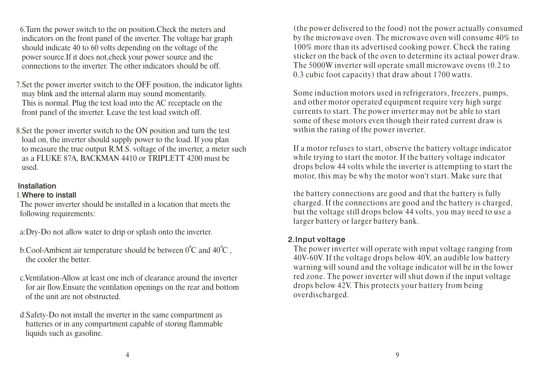6.Turn the power switch to the on position.Check the meters and indicators on the front panel of the inverter. The voltage bar graph should indicate 40 to 60 volts depending on the voltage of the power source.If it does not,check your power source and the connections to the inverter. The other indicators should be off.

7.Set the power inverter switch to the OFF position, the indicator lights may blink and the internal alarm may sound momentarily. This is normal. Plug the test load into the AC receptacle on the front panel of the inverter. Leave the test load switch off.

8.Set the power inverter switch to the ON position and turn the test load on, the inverter should supply power to the load. If you plan to measure the true output R.M.S. voltage of the inverter, a meter such as a FLUKE 87A, BACKMAN 4410 or TRIPLETT 4200 must be used.

#### Installation

#### 1.Where to install

 The power inverter should be installed in a location that meets the following requirements:

a:Dry-Do not allow water to drip or splash onto the inverter.

- b.Cool-Ambient air temperature should be between  $0^{\circ}$ C and  $40^{\circ}$ C, the cooler the better.
- c.Ventilation-Allow at least one inch of clearance around the inverter for air flow.Ensure the ventilation openings on the rear and bottom of the unit are not obstructed.
- d.Safety-Do not install the inverter in the same compartment as batteries or in any compartment capable of storing flammable liquids such as gasoline.

 (the power delivered to the food) not the power actually consumed by the microwave oven. The microwave oven will consume 40% to 100% more than its advertised cooking power. Check the rating sticker on the back of the oven to determine its actual power draw. The 5000W inverter will operate small microwave ovens (0.2 to 0.3 cubic foot capacity) that draw about 1700 watts.

 Some induction motors used in refrigerators, freezers, pumps, and other motor operated equipment require very high surge currents to start. The power inverter may not be able to start some of these motors even though their rated current draw is within the rating of the power inverter.

 If a motor refuses to start, observe the battery voltage indicator while trying to start the motor. If the battery voltage indicator drops below 44 volts while the inverter is attempting to start the motor, this may be why the motor won't start. Make sure that

the battery connections are good and that the battery is fully charged. If the connections are good and the battery is charged, but the voltage still drops below 44 volts, you may need to use a larger battery or larger battery bank.

#### 2.Input voltage

 The power inverter will operate with input voltage ranging from 40V-60V. If the voltage drops below 40V, an audible low battery warning will sound and the voltage indicator will be in the lower red zone. The power inverter will shut down if the input voltage drops below 42V. This protects your battery from being overdischarged.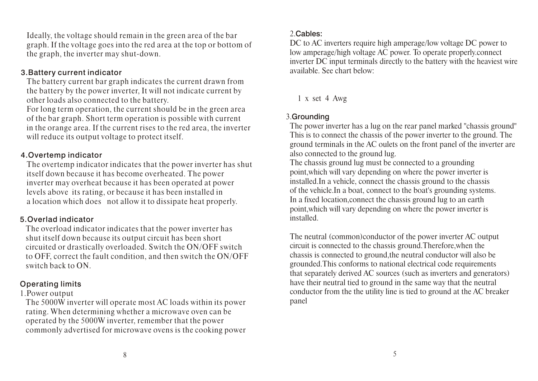Ideally, the voltage should remain in the green area of the bar graph. If the voltage goes into the red area at the top or bottom of the graph, the inverter may shut-down.

#### 3.Battery current indicator

 The battery current bar graph indicates the current drawn from the battery by the power inverter, It will not indicate current by other loads also connected to the battery.

 For long term operation, the current should be in the green area of the bar graph. Short term operation is possible with current in the orange area. If the current rises to the red area, the inverter will reduce its output voltage to protect itself.

#### 4.Overtemp indicator

 The overtemp indicator indicates that the power inverter has shut itself down because it has become overheated. The power inverter may overheat because it has been operated at power levels above its rating, or because it has been installed in a location which does not allow it to dissipate heat properly.

#### 5.Overlad indicator

 The overload indicator indicates that the power inverter has shut itself down because its output circuit has been short circuited or drastically overloaded. Switch the ON/OFF switch to OFF, correct the fault condition, and then switch the ON/OFF switch back to ON.

#### Operating limits

#### 1.Power output

 The 5000W inverter will operate most AC loads within its power rating. When determining whether a microwave oven can be operated by the 5000W inverter, remember that the power commonly advertised for microwave ovens is the cooking power

#### 2.Cables:

DC to AC inverters require high amperage/low voltage DC power to low amperage/high voltage AC power. To operate properly.connect inverter DC input terminals directly to the battery with the heaviest wire available. See chart below:

#### 1 x set 4 Awg

#### 3.Grounding

 The power inverter has a lug on the rear panel marked "chassis ground" This is to connect the chassis of the power inverter to the ground. The ground terminals in the AC oulets on the front panel of the inverter are also connected to the ground lug.

 The chassis ground lug must be connected to a grounding point,which will vary depending on where the power inverter is installed.In a vehicle, connect the chassis ground to the chassis of the vehicle.In a boat, connect to the boat's grounding systems. In a fixed location,connect the chassis ground lug to an earth point,which will vary depending on where the power inverter is installed.

 The neutral (common)conductor of the power inverter AC output circuit is connected to the chassis ground.Therefore,when the chassis is connected to ground,the neutral conductor will also be grounded.This conforms to national electrical code requirements that separately derived AC sources (such as inverters and generators) have their neutral tied to ground in the same way that the neutral conductor from the the utility line is tied to ground at the AC breaker panel